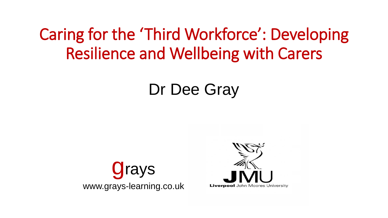#### Caring for the 'Third Workforce': Developing Resilience and Wellbeing with Carers

#### Dr Dee Gray



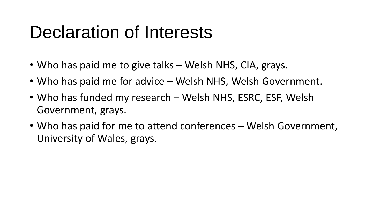# Declaration of Interests

- Who has paid me to give talks Welsh NHS, CIA, grays.
- Who has paid me for advice Welsh NHS, Welsh Government.
- Who has funded my research Welsh NHS, ESRC, ESF, Welsh Government, grays.
- Who has paid for me to attend conferences Welsh Government, University of Wales, grays.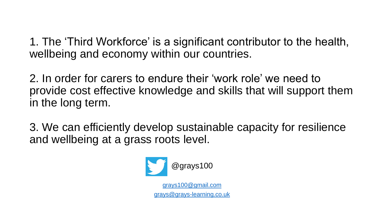1. The 'Third Workforce' is a significant contributor to the health, wellbeing and economy within our countries.

2. In order for carers to endure their 'work role' we need to provide cost effective knowledge and skills that will support them in the long term.

3. We can efficiently develop sustainable capacity for resilience and wellbeing at a grass roots level.

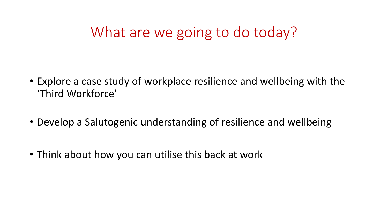#### What are we going to do today?

- Explore a case study of workplace resilience and wellbeing with the 'Third Workforce'
- Develop a Salutogenic understanding of resilience and wellbeing
- Think about how you can utilise this back at work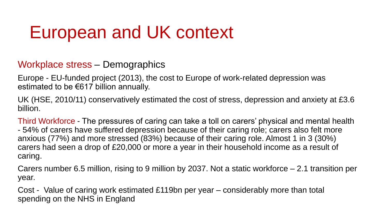# European and UK context

Workplace stress – Demographics

Europe - EU-funded project (2013), the cost to Europe of work-related depression was estimated to be €617 billion annually.

UK (HSE, 2010/11) conservatively estimated the cost of stress, depression and anxiety at £3.6 billion.

Third Workforce - The pressures of caring can take a toll on carers' physical and mental health - 54% of carers have suffered depression because of their caring role; carers also felt more anxious (77%) and more stressed (83%) because of their caring role. Almost 1 in 3 (30%) carers had seen a drop of £20,000 or more a year in their household income as a result of caring.

Carers number 6.5 million, rising to 9 million by 2037. Not a static workforce – 2.1 transition per year.

Cost - Value of caring work estimated £119bn per year – considerably more than total spending on the NHS in England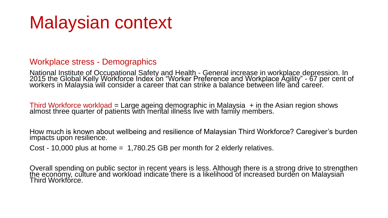# Malaysian context

#### Workplace stress - Demographics

National Institute of Occupational Safety and Health - General increase in workplace depression. In 2015 the Global Kelly Workforce Index on "Worker Preference and Workplace Agility" - 67 per cent of workers in Malaysia will consider a career that can strike a balance between life and career.

Third Workforce workload = Large ageing demographic in Malaysia + in the Asian region shows almost three quarter of patients with mental illness live with family members.

How much is known about wellbeing and resilience of Malaysian Third Workforce? Caregiver's burden impacts upon resilience.

Cost - 10,000 plus at home  $= 1,780.25$  GB per month for 2 elderly relatives.

Overall spending on public sector in recent years is less. Although there is a strong drive to strengthen <u>th</u>e economy, culture and workload indicate there is a likelihood of increased burden on Malaysian Third Workforce.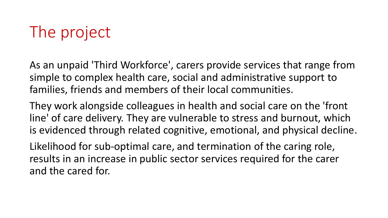# The project

As an unpaid 'Third Workforce', carers provide services that range from simple to complex health care, social and administrative support to families, friends and members of their local communities.

They work alongside colleagues in health and social care on the 'front line' of care delivery. They are vulnerable to stress and burnout, which is evidenced through related cognitive, emotional, and physical decline.

Likelihood for sub-optimal care, and termination of the caring role, results in an increase in public sector services required for the carer and the cared for.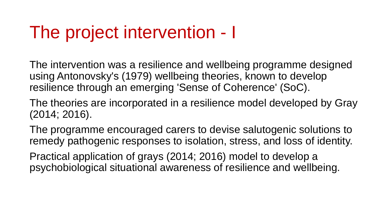# The project intervention - I

The intervention was a resilience and wellbeing programme designed using Antonovsky's (1979) wellbeing theories, known to develop resilience through an emerging 'Sense of Coherence' (SoC).

The theories are incorporated in a resilience model developed by Gray (2014; 2016).

The programme encouraged carers to devise salutogenic solutions to remedy pathogenic responses to isolation, stress, and loss of identity.

Practical application of grays (2014; 2016) model to develop a psychobiological situational awareness of resilience and wellbeing.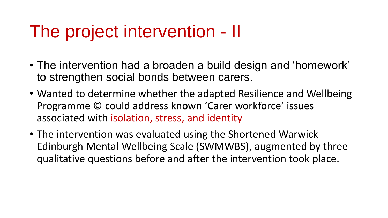# The project intervention - II

- The intervention had a broaden a build design and 'homework' to strengthen social bonds between carers.
- Wanted to determine whether the adapted Resilience and Wellbeing Programme © could address known 'Carer workforce' issues associated with isolation, stress, and identity
- The intervention was evaluated using the Shortened Warwick Edinburgh Mental Wellbeing Scale (SWMWBS), augmented by three qualitative questions before and after the intervention took place.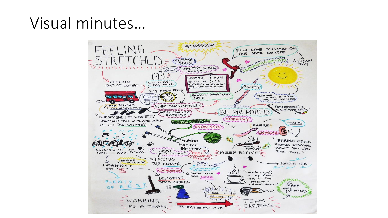#### Visual minutes…

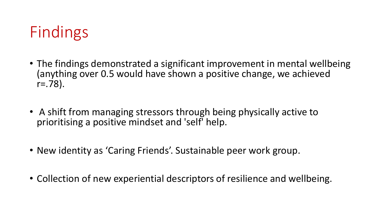

- The findings demonstrated a significant improvement in mental wellbeing (anything over 0.5 would have shown a positive change, we achieved  $r = .78$ ).
- A shift from managing stressors through being physically active to prioritising a positive mindset and 'self' help.
- New identity as 'Caring Friends'. Sustainable peer work group.
- Collection of new experiential descriptors of resilience and wellbeing.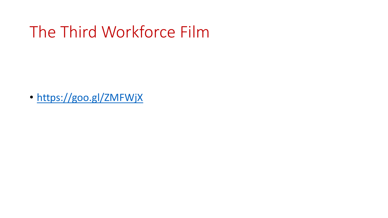#### The Third Workforce Film

• <https://goo.gl/ZMFWjX>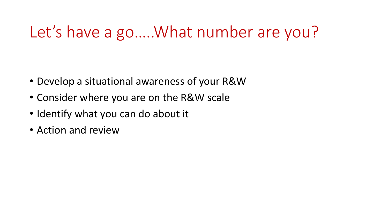#### Let's have a go.....What number are you?

- Develop a situational awareness of your R&W
- Consider where you are on the R&W scale
- Identify what you can do about it
- Action and review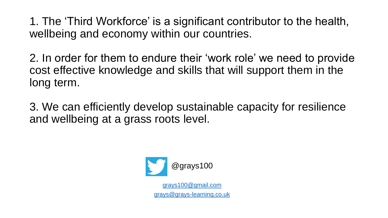1. The 'Third Workforce' is a significant contributor to the health, wellbeing and economy within our countries.

2. In order for them to endure their 'work role' we need to provide cost effective knowledge and skills that will support them in the long term.

3. We can efficiently develop sustainable capacity for resilience and wellbeing at a grass roots level.

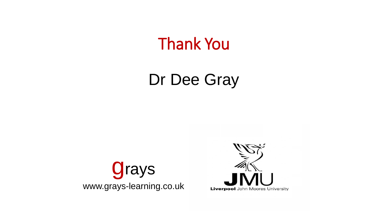Thank You

### Dr Dee Gray